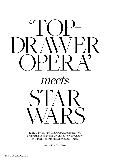

Rosie Clay, of Hurn Court Opera, tells the story behind this young company and its new production of Purcell's operatic jewel, *Dido and Aeneas* 

Photos: **Hurn Court Opera**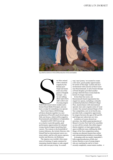

Guy Elliott as Damon in HCOs 2018 production of *Acis and Galatea*



of young singers fresh from conservatoire studies and a former Royal Ballet Principal, and you have a recipe for something very special.

Hurn Court Opera (HCO) brings all these elements together in a new production of Purcell's much-loved opera, *Dido and Aeneas*, which will be staged in Bournemouth and Salisbury in September.

Founded in 2017, HCO was set up as a charity to provide quality, paid performance opportunities for talented young classical singers launching their careers. The venture is the brainchild of Lynton Atkinson, the Artistic Director, who himself had an international career as a tenor soloist, and his wife mezzo-soprano, teacher and director, Joy Robinson.

The impetus was twofold. After many years of training, it's quite common for emerging classical singers to take unpaid work, and even pay to sing. 'In a small

way,' says Lynton, 'we wanted to create a few more, good-quality opportunities for artists at this stage'. Lynton and Joy's involvement with concerts at Hurn Court near Bournemouth, in aid of music therapy at Poole Hospital, provided another prompt. Both felt these events held the kernel of a larger enterprise.

In less than four years, our Bournemouth-based organisation has staged two operas, including a critically acclaimed production of Mozart's *Magic Flute*, masterclasses with international operatic stars and a regular series of vocal recitals. Our annual national Singer of the Year competition, now in its fourth year, provides both a competitive opportunity for singers between the ages of 20 and 29, and brings new talent into our view.

Lockdown of course slowed our activities. Our 2020 casted production of Mozart's *Cosi fan Tutti* had to be cancelled, as were all live recitals. But while singers' diaries emptied, we kept opportunities open in different ways, shifting the 2020 Singer of the Year competition online, running our planned masterclass online and commissioning lockdown recordings.

In keeping with our model, September's fully staged production of *Dido and Aeneas* features a cast of young singers who are reaching the end of, or have recently completed, conservatoire studies. 4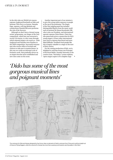#### opera in dorset

In the title roles are Welsh lyric mezzosoprano Angharad Rowlands as Dido and baritone Theo Perry as Aeneas. Natasha Page, soprano, will sing Belinda and countertenor Hamish McLaren performs the role of the Sorcerer.

Although we don't have a formal young artists' programme, our Singer of the Year competition, which last year attracted a record 114 entries, is a key route through which talented singers can reach us – both Angharad and Natasha were finalists in the 2020 competition. Successful entrants may also receive offers of recitals and chances to take part in masterclasses. In this way we create an informal cycle of freelance work, that gradually moves on as singers become more established and new ones come on the scene.

Another important part of our mission is to give this young talent exposure to people at the top of the profession. The Singer of the Year judging panel has included distinguished figures from the music world such as baritone Sir Simon Keenlyside CBE, who is also our President, and international operatic soprano Claire Rutter. Claire has also generously given a masterclass for HCO young singers, as have other international stars such as soprano Kate Royal and tenor Mark Milhofer. Feedback from people like this is hugely valuable to a singer at the start of their careers.

For the coming production of *Dido*, we're delighted to welcome former star Principal of the Royal Ballet, Zenaida Yanowsky to the creative team. 'Nowadays,' Lynton explains, 'opera singers aspire to be complete stage  $\blacktriangleright$ 

# *'Dido has some of the most gorgeous musical lines and poignant moments'*



The costumes for *Dido and Aeneas* designed by Sue Grove, draw on elements of Hanfu costumes from China and could be straight out of *House of Flying Daggers*, while the costume for Aeneas has more than a passing nod towards Luke Skywalker in *Star Wars*!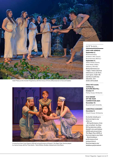

Adam Maxey as the monster Polyphemus with the Chorus of HCOs 2018 production of *Acis and Galatea*



A scene from Hurn Court Opera's 2019 sell-out performance of Mozart's *The Magic Flute*, Pamina played by Joanna Songi, with the Three Spirits - Maria Willsher, Bradley Hubbard and Lizzie Reece

#### LET'S GO...

#### **Dido and Aeneas:**

Richmond Hill St Andrew's URC Church, Bournemouth, BH2 6JJ **September 3:** Wilton Parish Church, West Street, Wilton, Salisbury, SP2 0DL *Both performances at 7.30pm. Tickets £25 from ticketsource.co.uk/hurncourt-opera. Under-18s and those in full-time education - free (ticket still needed).*  

**Other HCO events coming up... Autumn Recital: October 17:** Merley House, Wimborne 

**HCO Singer of the Year Competition 2021: November 14:** Bournemouth University 

#### **Christmas Concert:**

**December 5:** Church House, Wimborne,

*For further details go to hurncourtopera.org/ whats-on* 

 *HCO performances from your armchair: See these HCO productions online, Handel's Acis and Galatea (2018) and extracts from The Magic Flute (2019) at hurncourtopera.org*/*video. Watch lockdown performances from young artists at hurncourtopera.org/ lockdown-performances*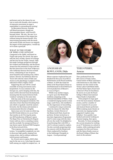performers and so the chance for our cast to work with Zenaida, who's mastery of expressive movement on stage is unparalleled, is extraordinarily exciting'.

As Movement Director, Zenaida will blend movement, though not choreographed dance, with Purcell's baroque music. 'My aim,' she says 'is to stylise the movement of the singers but without losing the human breath. If by intertwining movement with the music and words of *Dido and Aeneas* we magnify the impact of this masterpiece, I would say we've done a good job.'

#### **What is the story of Dido and Aeneas?**

Composed in the 1680s, and based on Virgil's epic poem *The Aeneid*, the opera tells the story of Dido, Queen of Carthage and her love for the Trojan, Aeneas. Dido has made Carthage prosperous through her wisdom and leadership, and the heroic Aeneas has the potential to reign with her. But fate intervenes in the form of Mercury who ruthlessly destroys the lives of both lovers, culminating in one of opera's most beautiful and touching arias, Dido's lament. Director Joy Robinson observes 'You're left with the vision of Dido and Aeneas as the playthings or puppets of fate, subsumed within a higher vision.'

Supporting the cast will be a small ensemble of string instruments and a harpsichord. As was common in the baroque era, and in keeping with this, the music will be directed from the keyboard, meaning that the musical director both 'conducts' and plays at the same time.

*Dido* has some of the most gorgeous musical lines and poignant moments. Not only does it have that heart-breaking final aria which is regularly voted the nation's favourite, but the drama and emotion is communicated directly in English.

Opera may carry for some an elitist tag, but HCO firmly believes it is an art form that touches us all. Proving the point, our 2019 production of Mozart's opera *The Magic Flute* at Christchurch's Regent Centre sold out, drew a standing ovation and the accolade 'An unexpected feast of top-drawer opera' declared Will Frampton in the *Bournemouth Echo*.

'This response was tremendous,' adds Lynton. 'It exemplified completely our aim to showcase high-quality singing from young artists, and to enthuse audiences with its power and beauty.'

So, if you're new to opera, HCO's *Dido*  may be the one to try. I also hope the opera buffs among you might be tempted too...  $\bullet$ 



### **ANGHARAD** Rowlands, Dido

Mezzo-soprano Angharad has just finished the first year of an MA in Performance at the Royal Academy of Music. In 2019 she made her debut at the Royal Opera House as 2nd Bridesmaid in David McVicar's revival production of Mozart's *Le nozze di Figaro*.

'Welsh is my mother tongue, so I grew up in the Welsh folk tradition competing in the National Eisteddfod of Wales. I had a wonderful singing teacher at that stage, Leah Owen, who instilled in me the importance of storytelling.

I continued to sing at university where by chance Sir John Eliot Gardiner, Artistic Director of the Monteverdi Choir, heard me perform. He later invited me to join their Apprentices Programme and I've since sung with the choir all over the world. I'm delighted to be performing *Dido* with HCO, a role I've always wanted to explore. I'm also currently preparing solos for concerts with the Monteverdi Choir conducted by Gardiner at the Salzburger Festspiele in August – Covid permitting!'



## Theo Perry, Aeneas

Theo graduated from the MA course at Trinity Laban Conservatoire of Music and Dance with distinction in July 2020. The baritone was the winner of the Trinity Laban Gold Medal 2020, the Paul Simm Opera Award and a Director's Prize for Excellence. He moves on to join the Royal College of Music International Opera Studio in September.

'I first jumped on stage aged 14 for the local amateur dramatic society, and for a number of years I wanted to be an actor and musical theatre performer. While studying music theatre at university my singing teacher suggested I explore some Schubert. Very quickly I was hooked and started working on classical singing, then opera.

Recently, I've been navigating the current situation by working as an IT Technician in a school in London, while studying privately to prepare for *Dido and Aeneas*  and the Opera Studio course at the Royal College of Music that starts in the autumn.'